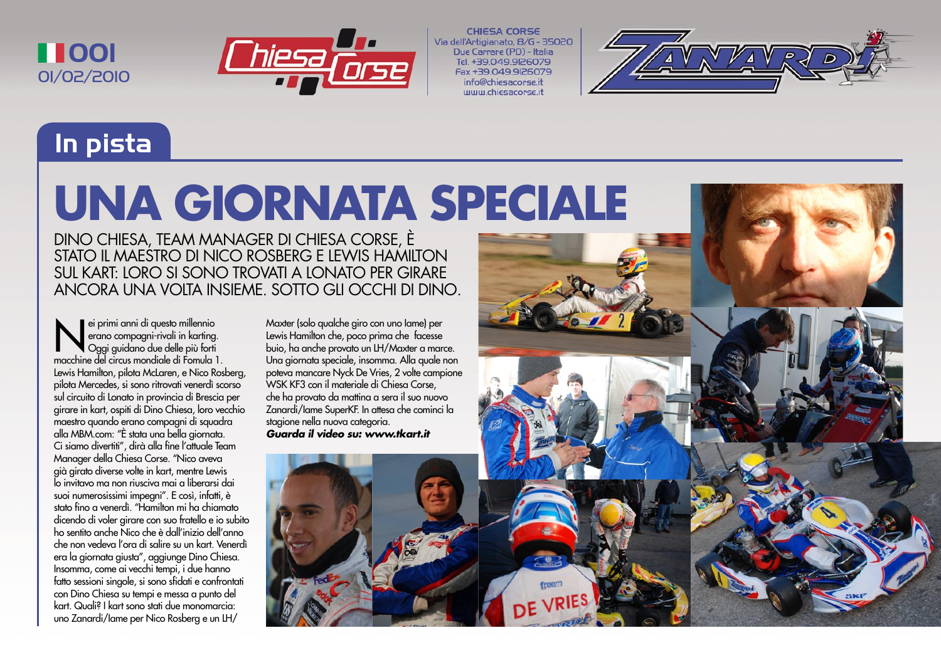



**CHIESA CORSE** Via dell'Artigianato, 8/G - 35020 Due Carrare (PD) - Italia Tel. +39.049.9126079 Fax +39 049 9 26079 info@chiesacorse.i **UUUU chiesacorse it** 



## **In pista**

## **UNA GIORNATA SPECIALE**

DINO CHIESA, TEAM MANAGER DI CHIESA CORSE, È STATO IL MAESTRO DI NICO ROSBERG E LEWIS HAMILTON SUL KART: LORO SI SONO TROVATI A LONATO PER GIRARE ANCORA UNA VOLTA INSIEME. SOTTO GLI OCCHI DI DINO.

ei primi anni di questo millennio<br>
erano compagni-rivali in karting<br>
Oggi guidano due delle più forti<br>
macchine del circus mondiale di Formula erano compagni-rivali in karting. Oggi guidano due delle più forti macchine del circus mondiale di Fomula 1. Lewis Hamilton, pilota McLaren, e Nico Rosberg, pilota Mercedes, si sono ritrovati venerdì scorso sul circuito di Lonato in provincia di Brescia per girare in kart, ospiti di Dino Chiesa, loro vecchio maestro quando erano compagni di squadra alla MBM.com: "È stata una bella giornata. Ci siamo divertiti", dirà alla fine l'attuale Team Manager della Chiesa Corse. "Nico aveva già girato diverse volte in kart, mentre Lewis lo invitavo ma non riusciva mai a liberarsi dai suoi numerosissimi impegni". E così, infatti, è stato fino a venerdì. "Hamilton mi ha chiamato dicendo di voler girare con suo fratello e io subito ho sentito anche Nico che è dall'inizio dell'anno che non vedeva l'ora di salire su un kart. Venerdì era la giornata giusta", aggiunge Dino Chiesa. Insomma, come ai vecchi tempi, i due hanno fatto sessioni singole, si sono sfidati e confrontati con Dino Chiesa su tempi e messa a punto del kart. Quali? I kart sono stati due monomarcia: uno Zanardi/Iame per Nico Rosberg e un LH/

Maxter (solo qualche giro con uno Iame) per Lewis Hamilton che, poco prima che facesse buio, ha anche provato un LH/Maxter a marce. Una giornata speciale, insomma. Alla quale non poteva mancare Nyck De Vries, 2 volte campione WSK KF3 con il materiale di Chiesa Corse, che ha provato da mattina a sera il suo nuovo Zanardi/Iame SuperKF. In attesa che cominci la stagione nella nuova categoria. **Guarda il video su: www.tkart.it**